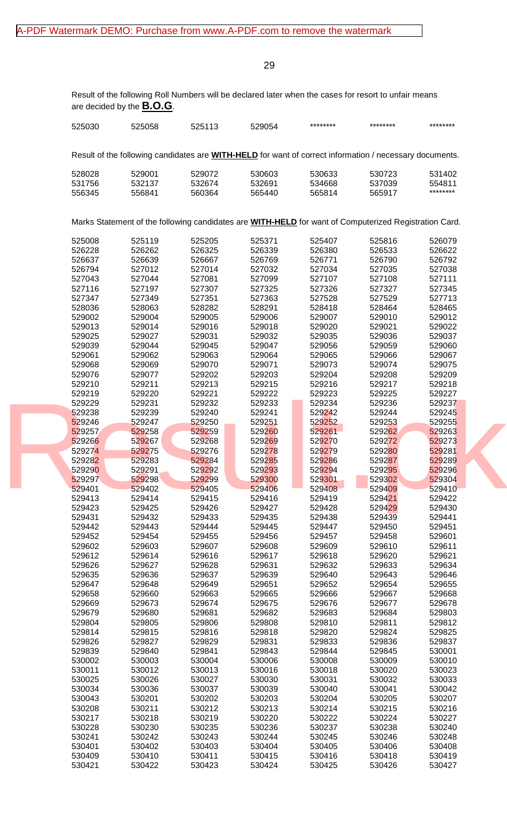Result of the following Roll Numbers will be declared later when the cases for resort to unfair means are decided by the **B.O.G**.

| 525030 | 525058 | 525113 | 529054 | ********                                                                                                       | ******** | ******** |
|--------|--------|--------|--------|----------------------------------------------------------------------------------------------------------------|----------|----------|
|        |        |        |        |                                                                                                                |          |          |
|        |        |        |        | Result of the following candidates are <b>WITH-HELD</b> for want of correct information / necessary documents. |          |          |
| 528028 | 529001 | 529072 | 530603 | 530633                                                                                                         | 530723   | 531402   |
| 531756 | 532137 | 532674 | 532691 | 534668                                                                                                         | 537039   | 554811   |
| 556345 | 556841 | 560364 | 565440 | 565814                                                                                                         | 565917   | ******** |
|        |        |        |        |                                                                                                                |          |          |
|        |        |        |        | Marks Statement of the following candidates are <b>WITH-HELD</b> for want of Computerized Registration Card.   |          |          |
| 525008 | 525119 | 525205 | 525371 | 525407                                                                                                         | 525816   | 526079   |
| 526228 | 526262 | 526325 | 526339 | 526380                                                                                                         | 526533   | 526622   |
| 526637 | 526639 | 526667 | 526769 | 526771                                                                                                         | 526790   | 526792   |
| 526794 | 527012 | 527014 | 527032 | 527034                                                                                                         | 527035   | 527038   |
| 527043 | 527044 | 527081 | 527099 | 527107                                                                                                         | 527108   | 527111   |
| 527116 | 527197 | 527307 | 527325 | 527326                                                                                                         | 527327   | 527345   |
| 527347 | 527349 | 527351 | 527363 | 527528                                                                                                         | 527529   | 527713   |
|        |        |        |        |                                                                                                                |          |          |
| 528036 | 528063 | 528282 | 528291 | 528418                                                                                                         | 528464   | 528465   |
| 529002 | 529004 | 529005 | 529006 | 529007                                                                                                         | 529010   | 529012   |
| 529013 | 529014 | 529016 | 529018 | 529020                                                                                                         | 529021   | 529022   |
| 529025 | 529027 | 529031 | 529032 | 529035                                                                                                         | 529036   | 529037   |
| 529039 | 529044 | 529045 | 529047 | 529056                                                                                                         | 529059   | 529060   |
| 529061 | 529062 | 529063 | 529064 | 529065                                                                                                         | 529066   | 529067   |
| 529068 | 529069 | 529070 | 529071 | 529073                                                                                                         | 529074   | 529075   |
| 529076 | 529077 | 529202 | 529203 | 529204                                                                                                         | 529208   | 529209   |
| 529210 | 529211 | 529213 | 529215 | 529216                                                                                                         | 529217   | 529218   |
| 529219 | 529220 | 529221 | 529222 | 529223                                                                                                         | 529225   | 529227   |
|        |        |        |        |                                                                                                                |          |          |
| 529229 | 529231 | 529232 | 529233 | 529234                                                                                                         | 529236   | 529237   |
| 529238 | 529239 | 529240 | 529241 | 529242                                                                                                         | 529244   | 529245   |
| 529246 | 529247 | 529250 | 529251 | 529252                                                                                                         | 529253   | 529255   |
| 529257 | 529258 | 529259 | 529260 | 529261                                                                                                         | 529262   | 529263   |
| 529266 | 529267 | 529268 | 529269 | 529270                                                                                                         | 529272   | 529273   |
| 529274 | 529275 | 529276 | 529278 | 529279                                                                                                         | 529280   | 529281   |
| 529282 | 529283 | 529284 | 529285 | 529286                                                                                                         | 529287   | 529289   |
| 529290 | 529291 | 529292 | 529293 | 529294                                                                                                         | 529295   | 529296   |
| 529297 | 529298 | 529299 | 529300 | 529301                                                                                                         | 529302   | 529304   |
| 529401 | 529402 | 529405 | 529406 | 529408                                                                                                         | 529409   | 529410   |
| 529413 | 529414 | 529415 | 529416 | 529419                                                                                                         | 529421   | 529422   |
| 529423 | 529425 | 529426 | 529427 | 529428                                                                                                         | 529429   | 529430   |
|        |        |        |        |                                                                                                                |          |          |
| 529431 | 529432 | 529433 | 529435 | 529438                                                                                                         | 529439   | 529441   |
| 529442 | 529443 | 529444 | 529445 | 529447                                                                                                         | 529450   | 529451   |
| 529452 | 529454 | 529455 | 529456 | 529457                                                                                                         | 529458   | 529601   |
| 529602 | 529603 | 529607 | 529608 | 529609                                                                                                         | 529610   | 529611   |
| 529612 | 529614 | 529616 | 529617 | 529618                                                                                                         | 529620   | 529621   |
| 529626 | 529627 | 529628 | 529631 | 529632                                                                                                         | 529633   | 529634   |
| 529635 | 529636 | 529637 | 529639 | 529640                                                                                                         | 529643   | 529646   |
| 529647 | 529648 | 529649 | 529651 | 529652                                                                                                         | 529654   | 529655   |
| 529658 | 529660 | 529663 | 529665 | 529666                                                                                                         | 529667   | 529668   |
|        |        |        |        |                                                                                                                |          |          |
| 529669 | 529673 | 529674 | 529675 | 529676                                                                                                         | 529677   | 529678   |
| 529679 | 529680 | 529681 | 529682 | 529683                                                                                                         | 529684   | 529803   |
| 529804 | 529805 | 529806 | 529808 | 529810                                                                                                         | 529811   | 529812   |
| 529814 | 529815 | 529816 | 529818 | 529820                                                                                                         | 529824   | 529825   |
| 529826 | 529827 | 529829 | 529831 | 529833                                                                                                         | 529836   | 529837   |
| 529839 | 529840 | 529841 | 529843 | 529844                                                                                                         | 529845   | 530001   |
| 530002 | 530003 | 530004 | 530006 | 530008                                                                                                         | 530009   | 530010   |
| 530011 | 530012 | 530013 | 530016 | 530018                                                                                                         | 530020   | 530023   |
| 530025 | 530026 | 530027 | 530030 | 530031                                                                                                         | 530032   | 530033   |
|        |        |        |        |                                                                                                                |          |          |
| 530034 | 530036 | 530037 | 530039 | 530040                                                                                                         | 530041   | 530042   |
| 530043 | 530201 | 530202 | 530203 | 530204                                                                                                         | 530205   | 530207   |
| 530208 | 530211 | 530212 | 530213 | 530214                                                                                                         | 530215   | 530216   |
| 530217 | 530218 | 530219 | 530220 | 530222                                                                                                         | 530224   | 530227   |
| 530228 | 530230 | 530235 | 530236 | 530237                                                                                                         | 530238   | 530240   |
| 530241 | 530242 | 530243 | 530244 | 530245                                                                                                         | 530246   | 530248   |
| 530401 | 530402 | 530403 | 530404 | 530405                                                                                                         | 530406   | 530408   |
| 530409 | 530410 | 530411 | 530415 | 530416                                                                                                         | 530418   | 530419   |
|        |        |        |        |                                                                                                                |          |          |
| 530421 | 530422 | 530423 | 530424 | 530425                                                                                                         | 530426   | 530427   |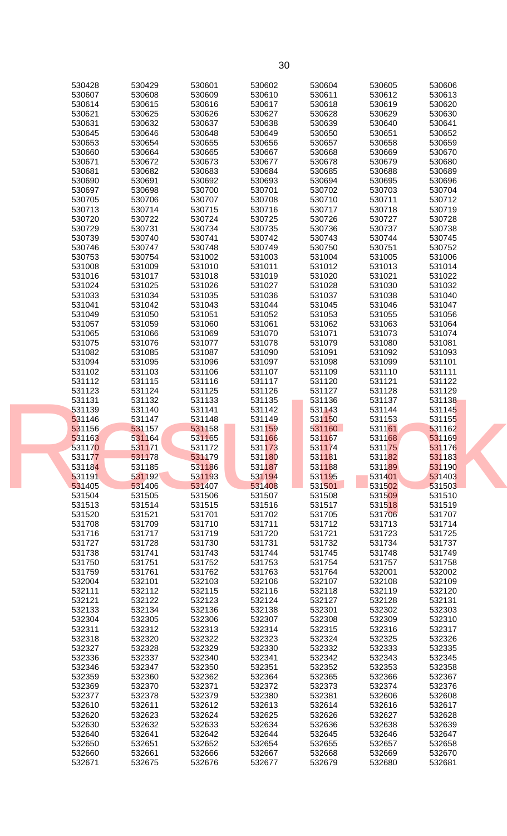| 530428           | 530429           | 530601           | 530602           | 530604           | 530605           | 530606           |  |
|------------------|------------------|------------------|------------------|------------------|------------------|------------------|--|
| 530607           | 530608           | 530609           | 530610           | 530611           | 530612           | 530613           |  |
|                  |                  |                  |                  |                  |                  |                  |  |
| 530614           | 530615           | 530616           | 530617           | 530618           | 530619           | 530620           |  |
| 530621           | 530625           | 530626           | 530627           | 530628           | 530629           | 530630           |  |
| 530631           | 530632           | 530637           | 530638           | 530639           | 530640           | 530641           |  |
|                  |                  |                  |                  |                  |                  |                  |  |
| 530645           | 530646           | 530648           | 530649           | 530650           | 530651           | 530652           |  |
| 530653           | 530654           | 530655           | 530656           | 530657           | 530658           | 530659           |  |
| 530660           | 530664           | 530665           | 530667           | 530668           | 530669           | 530670           |  |
|                  |                  |                  |                  |                  |                  |                  |  |
| 530671           | 530672           | 530673           | 530677           | 530678           | 530679           | 530680           |  |
| 530681           | 530682           | 530683           | 530684           | 530685           | 530688           | 530689           |  |
|                  |                  |                  |                  |                  |                  |                  |  |
| 530690           | 530691           | 530692           | 530693           | 530694           | 530695           | 530696           |  |
| 530697           | 530698           | 530700           | 530701           | 530702           | 530703           | 530704           |  |
| 530705           | 530706           | 530707           | 530708           | 530710           | 530711           | 530712           |  |
|                  |                  |                  |                  |                  |                  |                  |  |
| 530713           | 530714           | 530715           | 530716           | 530717           | 530718           | 530719           |  |
| 530720           | 530722           | 530724           | 530725           | 530726           | 530727           | 530728           |  |
| 530729           | 530731           | 530734           | 530735           | 530736           | 530737           | 530738           |  |
|                  |                  |                  |                  |                  |                  |                  |  |
| 530739           | 530740           | 530741           | 530742           | 530743           | 530744           | 530745           |  |
| 530746           | 530747           | 530748           | 530749           | 530750           | 530751           | 530752           |  |
|                  |                  |                  |                  |                  |                  |                  |  |
| 530753           | 530754           | 531002           | 531003           | 531004           | 531005           | 531006           |  |
| 531008           | 531009           | 531010           | 531011           | 531012           | 531013           | 531014           |  |
| 531016           | 531017           | 531018           | 531019           | 531020           | 531021           | 531022           |  |
|                  |                  |                  |                  |                  |                  |                  |  |
| 531024           | 531025           | 531026           | 531027           | 531028           | 531030           | 531032           |  |
| 531033           | 531034           | 531035           | 531036           | 531037           | 531038           | 531040           |  |
| 531041           | 531042           | 531043           | 531044           | 531045           | 531046           | 531047           |  |
|                  |                  |                  |                  |                  |                  |                  |  |
| 531049           | 531050           | 531051           | 531052           | 531053           | 531055           | 531056           |  |
| 531057           | 531059           | 531060           | 531061           | 531062           | 531063           | 531064           |  |
| 531065           | 531066           | 531069           | 531070           | 531071           | 531073           | 531074           |  |
|                  |                  |                  |                  |                  |                  |                  |  |
| 531075           | 531076           | 531077           | 531078           | 531079           | 531080           | 531081           |  |
| 531082           | 531085           | 531087           | 531090           | 531091           | 531092           | 531093           |  |
|                  |                  |                  |                  |                  |                  |                  |  |
| 531094           | 531095           | 531096           | 531097           | 531098           | 531099           | 531101           |  |
| 531102           | 531103           | 531106           | 531107           | 531109           | 531110           | 531111           |  |
| 531112           | 531115           | 531116           | 531117           | 531120           | 531121           | 531122           |  |
|                  |                  |                  |                  |                  |                  |                  |  |
| 531123           | 531124           | 531125           | 531126           | 531127           | 531128           | 531129           |  |
| 531131           | 531132           | 531133           | 531135           | 531136           | 531137           | 531138           |  |
| 531139           | 531140           | 531141           | 531142           | 531143           | 531144           | 531145           |  |
|                  |                  |                  |                  |                  |                  |                  |  |
|                  |                  |                  |                  |                  |                  |                  |  |
| 531146           | 531147           | 531148           | 531149           | 531150           | 531153           | 531155           |  |
|                  |                  |                  |                  |                  |                  |                  |  |
| 531156           | 531157           | 531158           | 531159           | 531160           | 531161           | 531162           |  |
| 531163           | 531164           | 531165           | 531166           | 531167           | 531168           | 531169           |  |
| 531170           | 531171           | 531172           | 531173           |                  |                  | 531176           |  |
|                  |                  |                  |                  | 531174           | 531175           |                  |  |
| 531177           | 531178           | 531179           | 531180           | 531181           | 531182           | 531183           |  |
| 531184           | 531185           | 531186           | 531187           | 531188           | 531189           | 531190           |  |
|                  |                  |                  |                  |                  |                  | 531403           |  |
| 531191           | 531192           | 531193           | 531194           |                  | 531401           |                  |  |
| 531405           | 531406           | 531407           | 531408           | 531195           | $-531502$        | 531503           |  |
| 531504           | 531505           | 531506           | 531507           | 531508           | 531509           | 531510           |  |
|                  |                  |                  |                  |                  |                  |                  |  |
| 531513           | 531514           | 531515           | 531516           | 531517           | 531518           | 531519           |  |
| 531520           | 531521           | 531701           | 531702           | 531705           | 531706           | 531707           |  |
| 531708           | 531709           | 531710           | 531711           | 531712           | 531713           | 531714           |  |
|                  |                  |                  |                  |                  |                  |                  |  |
| 531716           | 531717           | 531719           | 531720           | 531721           | 531723           | 531725           |  |
| 531727           | 531728           | 531730           | 531731           | 531732           | 531734           | 531737           |  |
| 531738           | 531741           | 531743           | 531744           | 531745           | 531748           | 531749           |  |
|                  |                  |                  |                  |                  |                  |                  |  |
| 531750           | 531751           | 531752           | 531753           | 531754           | 531757           | 531758           |  |
| 531759           | 531761           | 531762           | 531763           | 531764           | 532001           | 532002           |  |
| 532004           | 532101           | 532103           | 532106           | 532107           | 532108           | 532109           |  |
|                  |                  |                  |                  |                  |                  |                  |  |
| 532111           | 532112           | 532115           | 532116           | 532118           | 532119           | 532120           |  |
| 532121           | 532122           | 532123           | 532124           | 532127           | 532128           | 532131           |  |
| 532133           | 532134           | 532136           | 532138           | 532301           | 532302           | 532303           |  |
|                  |                  |                  |                  |                  |                  |                  |  |
| 532304           | 532305           | 532306           | 532307           | 532308           | 532309           | 532310           |  |
| 532311           | 532312           | 532313           | 532314           | 532315           | 532316           | 532317           |  |
|                  |                  | 532322           |                  |                  |                  | 532326           |  |
| 532318           | 532320           |                  | 532323           | 532324           | 532325           |                  |  |
| 532327           | 532328           | 532329           | 532330           | 532332           | 532333           | 532335           |  |
| 532336           | 532337           | 532340           | 532341           | 532342           | 532343           | 532345           |  |
|                  |                  |                  |                  |                  |                  |                  |  |
| 532346           | 532347           | 532350           | 532351           | 532352           | 532353           | 532358           |  |
| 532359           | 532360           | 532362           | 532364           | 532365           | 532366           | 532367           |  |
| 532369           | 532370           | 532371           | 532372           | 532373           | 532374           | 532376           |  |
|                  |                  |                  |                  |                  |                  |                  |  |
| 532377           | 532378           | 532379           | 532380           | 532381           | 532606           | 532608           |  |
| 532610           | 532611           | 532612           | 532613           | 532614           | 532616           | 532617           |  |
| 532620           | 532623           | 532624           | 532625           | 532626           | 532627           | 532628           |  |
|                  |                  |                  |                  |                  |                  |                  |  |
| 532630           | 532632           | 532633           | 532634           | 532636           | 532638           | 532639           |  |
| 532640           | 532641           | 532642           | 532644           | 532645           | 532646           | 532647           |  |
| 532650           | 532651           | 532652           | 532654           | 532655           | 532657           | 532658           |  |
|                  |                  |                  |                  |                  |                  |                  |  |
| 532660<br>532671 | 532661<br>532675 | 532666<br>532676 | 532667<br>532677 | 532668<br>532679 | 532669<br>532680 | 532670<br>532681 |  |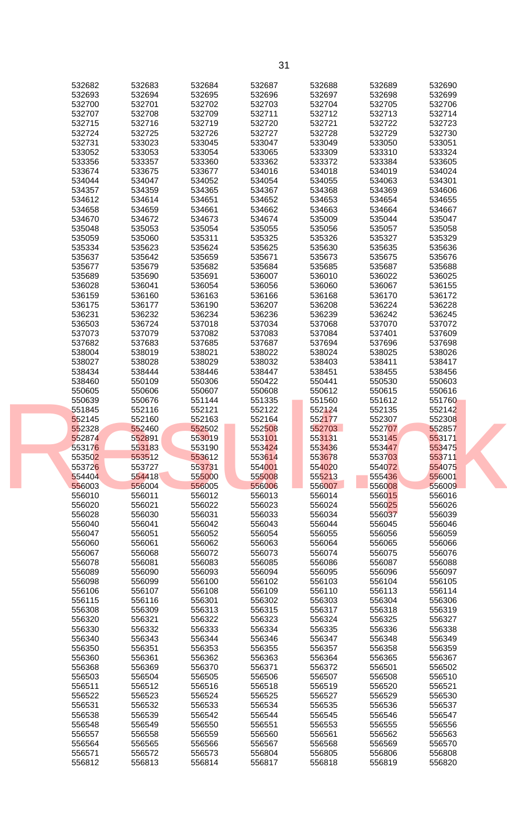| 532682           | 532683           | 532684           | 532687           | 532688           | 532689           | 532690           |  |
|------------------|------------------|------------------|------------------|------------------|------------------|------------------|--|
| 532693           | 532694           | 532695           | 532696           | 532697           | 532698           | 532699           |  |
| 532700           | 532701           | 532702           | 532703           | 532704           | 532705           | 532706           |  |
| 532707           | 532708           | 532709           | 532711           | 532712           | 532713           | 532714           |  |
|                  |                  | 532719           |                  |                  | 532722           |                  |  |
| 532715           | 532716           |                  | 532720           | 532721           |                  | 532723           |  |
| 532724           | 532725           | 532726           | 532727           | 532728           | 532729           | 532730           |  |
| 532731           | 533023           | 533045           | 533047           | 533049           | 533050           | 533051           |  |
| 533052           | 533053           | 533054           | 533065           | 533309           | 533310           | 533324           |  |
| 533356           | 533357           | 533360           | 533362           | 533372           | 533384           | 533605           |  |
| 533674           | 533675           | 533677           | 534016           | 534018           | 534019           | 534024           |  |
| 534044           | 534047           | 534052           | 534054           | 534055           | 534063           | 534301           |  |
| 534357           | 534359           | 534365           | 534367           | 534368           | 534369           | 534606           |  |
| 534612           | 534614           | 534651           | 534652           | 534653           | 534654           | 534655           |  |
| 534658           | 534659           | 534661           | 534662           | 534663           | 534664           | 534667           |  |
| 534670           | 534672           | 534673           | 534674           | 535009           | 535044           | 535047           |  |
| 535048           | 535053           | 535054           | 535055           | 535056           | 535057           | 535058           |  |
| 535059           | 535060           | 535311           | 535325           | 535326           | 535327           | 535329           |  |
|                  |                  |                  |                  |                  |                  |                  |  |
| 535334           | 535623           | 535624           | 535625           | 535630           | 535635           | 535636           |  |
| 535637           | 535642           | 535659           | 535671           | 535673           | 535675           | 535676           |  |
| 535677           | 535679           | 535682           | 535684           | 535685           | 535687           | 535688           |  |
| 535689           | 535690           | 535691           | 536007           | 536010           | 536022           | 536025           |  |
| 536028           | 536041           | 536054           | 536056           | 536060           | 536067           | 536155           |  |
| 536159           | 536160           | 536163           | 536166           | 536168           | 536170           | 536172           |  |
| 536175           | 536177           | 536190           | 536207           | 536208           | 536224           | 536228           |  |
| 536231           | 536232           | 536234           | 536236           | 536239           | 536242           | 536245           |  |
| 536503           | 536724           | 537018           | 537034           | 537068           | 537070           | 537072           |  |
| 537073           | 537079           | 537082           | 537083           | 537084           | 537401           | 537609           |  |
| 537682           | 537683           | 537685           | 537687           | 537694           | 537696           | 537698           |  |
| 538004           | 538019           | 538021           | 538022           | 538024           | 538025           | 538026           |  |
|                  |                  |                  |                  |                  |                  |                  |  |
| 538027           | 538028           | 538029           | 538032           | 538403           | 538411           | 538417           |  |
| 538434           | 538444           | 538446           | 538447           | 538451           | 538455           | 538456           |  |
| 538460           | 550109           | 550306           | 550422           | 550441           | 550530           | 550603           |  |
| 550605           | 550606           | 550607           | 550608           | 550612           | 550615           | 550616           |  |
| 550639           | 550676           | 551144           | 551335           | 551560           | 551612           | 551760           |  |
| 551845           | 552116           | 552121           | 552122           | 552124           | 552135           | 552142           |  |
| 552145           | 552160           | 552163           | 552164           | 552177           | 552307           | 552308           |  |
| 552328           | 552460           | 552502           | 552508           | 552703           | 552707           | 552857           |  |
| 552874           | 552891           | 553019           | 553101           | 553131           | 553145           | 553171           |  |
| 553176           | 553183           | 553190           | 553424           | 553436           | 553447           | 553475           |  |
| 553502           | 553512           | 553612           | 553614           | 553678           | 553703           | 553711           |  |
|                  |                  |                  |                  |                  |                  |                  |  |
| 553726           | 553727           | 553731           | 554001           | 554020           | 554072           | 554075           |  |
| 554404           | 554418           | 555000           | 555008           | 555213           | 555436           | 556001           |  |
| 556003           | 556004           | 556005           | 556006           | 556007           | 556008           | 556009           |  |
| 556010           | 556011           | 556012           | 556013           | 556014           | 556015           | 556016           |  |
| 556020           | 556021           | 556022           | 556023           | 556024           | 556025           | 556026           |  |
| 556028           | 556030           | 556031           | 556033           | 556034           | 556037           | 556039           |  |
| 556040           | 556041           | 556042           | 556043           | 556044           | 556045           | 556046           |  |
| 556047           | 556051           | 556052           | 556054           | 556055           | 556056           | 556059           |  |
| 556060           | 556061           | 556062           | 556063           | 556064           | 556065           | 556066           |  |
| 556067           | 556068           | 556072           | 556073           | 556074           | 556075           | 556076           |  |
| 556078           | 556081           | 556083           | 556085           | 556086           | 556087           | 556088           |  |
| 556089           | 556090           | 556093           | 556094           | 556095           | 556096           | 556097           |  |
| 556098           | 556099           | 556100           | 556102           | 556103           | 556104           | 556105           |  |
| 556106           | 556107           | 556108           | 556109           | 556110           | 556113           | 556114           |  |
|                  |                  |                  |                  |                  |                  |                  |  |
| 556115           | 556116           | 556301           | 556302           | 556303           | 556304           | 556306           |  |
| 556308           | 556309           | 556313           | 556315           | 556317           | 556318           | 556319           |  |
| 556320           | 556321           | 556322           | 556323           | 556324           | 556325           | 556327           |  |
| 556330           | 556332           | 556333           | 556334           | 556335           | 556336           | 556338           |  |
| 556340           | 556343           | 556344           | 556346           | 556347           | 556348           | 556349           |  |
| 556350           | 556351           | 556353           | 556355           | 556357           | 556358           | 556359           |  |
| 556360           | 556361           | 556362           | 556363           | 556364           | 556365           | 556367           |  |
| 556368           | 556369           | 556370           | 556371           | 556372           | 556501           | 556502           |  |
| 556503           |                  | 556505           | 556506           | 556507           | 556508           | 556510           |  |
|                  |                  |                  |                  |                  |                  |                  |  |
|                  | 556504           |                  |                  |                  |                  |                  |  |
| 556511           | 556512           | 556516           | 556518           | 556519           | 556520           | 556521           |  |
| 556522           | 556523           | 556524           | 556525           | 556527           | 556529           | 556530           |  |
| 556531           | 556532           | 556533           | 556534           | 556535           | 556536           | 556537           |  |
| 556538           | 556539           | 556542           | 556544           | 556545           | 556546           | 556547           |  |
| 556548           | 556549           | 556550           | 556551           | 556553           | 556555           | 556556           |  |
| 556557           | 556558           | 556559           | 556560           | 556561           | 556562           | 556563           |  |
| 556564           | 556565           | 556566           | 556567           | 556568           | 556569           | 556570           |  |
| 556571<br>556812 | 556572<br>556813 | 556573<br>556814 | 556804<br>556817 | 556805<br>556818 | 556806<br>556819 | 556808<br>556820 |  |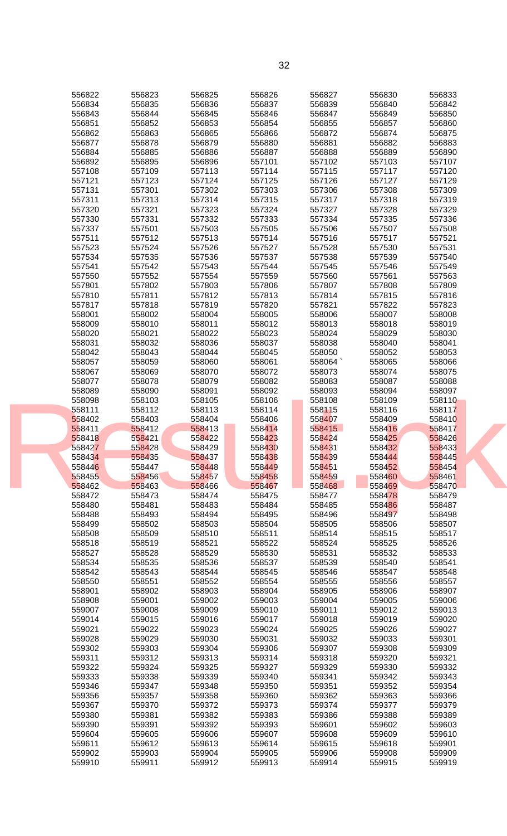| 556822 | 556823 | 556825 | 556826 | 556827 | 556830 | 556833 |  |
|--------|--------|--------|--------|--------|--------|--------|--|
| 556834 | 556835 | 556836 | 556837 | 556839 | 556840 | 556842 |  |
| 556843 | 556844 | 556845 | 556846 | 556847 | 556849 | 556850 |  |
| 556851 | 556852 | 556853 | 556854 | 556855 | 556857 | 556860 |  |
|        |        |        |        |        |        |        |  |
| 556862 | 556863 | 556865 | 556866 | 556872 | 556874 | 556875 |  |
| 556877 | 556878 | 556879 | 556880 | 556881 | 556882 | 556883 |  |
| 556884 | 556885 | 556886 | 556887 | 556888 | 556889 | 556890 |  |
| 556892 | 556895 | 556896 | 557101 | 557102 | 557103 | 557107 |  |
| 557108 | 557109 | 557113 | 557114 | 557115 | 557117 | 557120 |  |
| 557121 | 557123 | 557124 | 557125 | 557126 | 557127 | 557129 |  |
| 557131 | 557301 | 557302 | 557303 | 557306 | 557308 | 557309 |  |
| 557311 | 557313 | 557314 | 557315 | 557317 | 557318 | 557319 |  |
| 557320 | 557321 | 557323 | 557324 | 557327 | 557328 | 557329 |  |
| 557330 | 557331 | 557332 | 557333 | 557334 | 557335 | 557336 |  |
| 557337 | 557501 | 557503 | 557505 | 557506 | 557507 | 557508 |  |
|        |        |        |        |        |        |        |  |
| 557511 | 557512 | 557513 | 557514 | 557516 | 557517 | 557521 |  |
| 557523 | 557524 | 557526 | 557527 | 557528 | 557530 | 557531 |  |
| 557534 | 557535 | 557536 | 557537 | 557538 | 557539 | 557540 |  |
| 557541 | 557542 | 557543 | 557544 | 557545 | 557546 | 557549 |  |
| 557550 | 557552 | 557554 | 557559 | 557560 | 557561 | 557563 |  |
| 557801 | 557802 | 557803 | 557806 | 557807 | 557808 | 557809 |  |
| 557810 | 557811 | 557812 | 557813 | 557814 | 557815 | 557816 |  |
| 557817 | 557818 | 557819 | 557820 | 557821 | 557822 | 557823 |  |
| 558001 | 558002 | 558004 | 558005 | 558006 | 558007 | 558008 |  |
| 558009 | 558010 | 558011 | 558012 | 558013 | 558018 | 558019 |  |
| 558020 | 558021 | 558022 | 558023 | 558024 | 558029 | 558030 |  |
| 558031 | 558032 | 558036 | 558037 | 558038 | 558040 | 558041 |  |
| 558042 | 558043 | 558044 | 558045 | 558050 | 558052 | 558053 |  |
|        |        |        |        |        |        |        |  |
| 558057 | 558059 | 558060 | 558061 | 558064 | 558065 | 558066 |  |
| 558067 | 558069 | 558070 | 558072 | 558073 | 558074 | 558075 |  |
| 558077 | 558078 | 558079 | 558082 | 558083 | 558087 | 558088 |  |
| 558089 | 558090 | 558091 | 558092 | 558093 | 558094 | 558097 |  |
| 558098 | 558103 | 558105 | 558106 | 558108 | 558109 | 558110 |  |
| 558111 | 558112 | 558113 | 558114 | 558115 | 558116 | 558117 |  |
| 558402 | 558403 | 558404 | 558406 | 558407 | 558409 | 558410 |  |
| 558411 | 558412 | 558413 | 558414 | 558415 | 558416 | 558417 |  |
| 558418 | 558421 | 558422 | 558423 | 558424 | 558425 | 558426 |  |
| 558427 | 558428 | 558429 | 558430 | 558431 | 558432 | 558433 |  |
| 558434 | 558435 | 558437 | 558438 | 558439 | 558444 | 558445 |  |
|        |        |        |        |        |        |        |  |
| 558446 | 558447 | 558448 | 558449 | 558451 | 558452 | 558454 |  |
| 558455 | 558456 | 558457 | 558458 | 558459 | 558460 | 558461 |  |
| 558462 | 558463 | 558466 | 558467 | 558468 | 558469 | 558470 |  |
| 558472 | 558473 | 558474 | 558475 | 558477 | 558478 | 558479 |  |
| 558480 | 558481 | 558483 | 558484 | 558485 | 558486 | 558487 |  |
| 558488 | 558493 | 558494 | 558495 | 558496 | 558497 | 558498 |  |
| 558499 | 558502 | 558503 | 558504 | 558505 | 558506 | 558507 |  |
| 558508 | 558509 | 558510 | 558511 | 558514 | 558515 | 558517 |  |
| 558518 | 558519 | 558521 | 558522 | 558524 | 558525 | 558526 |  |
| 558527 | 558528 | 558529 | 558530 | 558531 | 558532 | 558533 |  |
| 558534 | 558535 | 558536 | 558537 | 558539 | 558540 | 558541 |  |
| 558542 | 558543 | 558544 | 558545 | 558546 | 558547 | 558548 |  |
| 558550 | 558551 | 558552 | 558554 | 558555 | 558556 | 558557 |  |
| 558901 | 558902 | 558903 | 558904 | 558905 | 558906 | 558907 |  |
|        |        |        |        |        |        |        |  |
| 558908 | 559001 | 559002 | 559003 | 559004 | 559005 | 559006 |  |
| 559007 | 559008 | 559009 | 559010 | 559011 | 559012 | 559013 |  |
| 559014 | 559015 | 559016 | 559017 | 559018 | 559019 | 559020 |  |
| 559021 | 559022 | 559023 | 559024 | 559025 | 559026 | 559027 |  |
| 559028 | 559029 | 559030 | 559031 | 559032 | 559033 | 559301 |  |
| 559302 | 559303 | 559304 | 559306 | 559307 | 559308 | 559309 |  |
| 559311 | 559312 | 559313 | 559314 | 559318 | 559320 | 559321 |  |
| 559322 | 559324 | 559325 | 559327 | 559329 | 559330 | 559332 |  |
| 559333 | 559338 | 559339 | 559340 | 559341 | 559342 | 559343 |  |
| 559346 | 559347 | 559348 | 559350 | 559351 | 559352 | 559354 |  |
| 559356 | 559357 | 559358 | 559360 | 559362 | 559363 | 559366 |  |
| 559367 | 559370 | 559372 | 559373 | 559374 | 559377 | 559379 |  |
|        |        |        |        |        |        |        |  |
| 559380 | 559381 | 559382 | 559383 | 559386 | 559388 | 559389 |  |
| 559390 | 559391 | 559392 | 559393 | 559601 | 559602 | 559603 |  |
| 559604 | 559605 | 559606 | 559607 | 559608 | 559609 | 559610 |  |
| 559611 | 559612 | 559613 | 559614 | 559615 | 559618 | 559901 |  |
| 559902 | 559903 | 559904 | 559905 | 559906 | 559908 | 559909 |  |
| 559910 | 559911 | 559912 | 559913 | 559914 | 559915 | 559919 |  |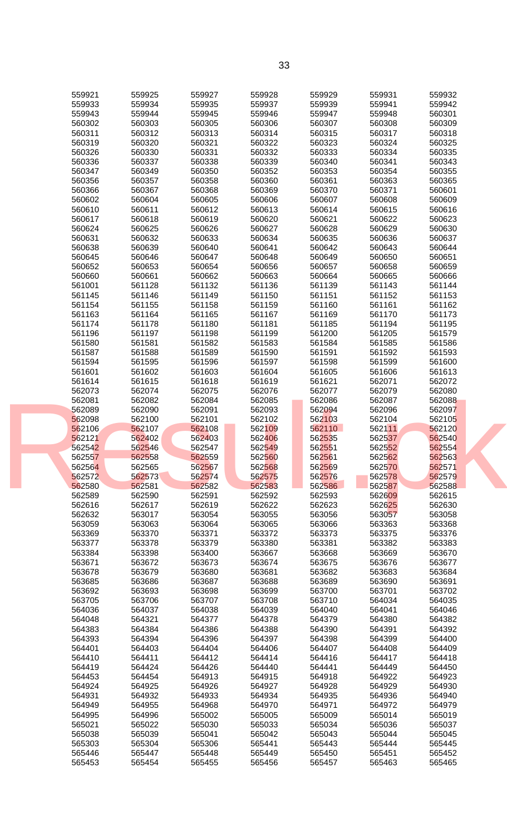| 559921           | 559925           | 559927           | 559928           | 559929           | 559931           | 559932           |  |
|------------------|------------------|------------------|------------------|------------------|------------------|------------------|--|
| 559933           | 559934           | 559935           | 559937           | 559939           | 559941           | 559942           |  |
| 559943           | 559944           | 559945           | 559946           | 559947           | 559948           | 560301           |  |
|                  |                  |                  |                  |                  |                  |                  |  |
| 560302           | 560303           | 560305           | 560306           | 560307           | 560308           | 560309           |  |
| 560311           | 560312           | 560313           | 560314           | 560315           | 560317           | 560318           |  |
| 560319           | 560320           | 560321           | 560322           | 560323           | 560324           | 560325           |  |
|                  |                  |                  |                  |                  |                  |                  |  |
| 560326           | 560330           | 560331           | 560332           | 560333           | 560334           | 560335           |  |
| 560336           | 560337           | 560338           | 560339           | 560340           | 560341           | 560343           |  |
|                  |                  |                  |                  |                  |                  |                  |  |
| 560347           | 560349           | 560350           | 560352           | 560353           | 560354           | 560355           |  |
| 560356           | 560357           | 560358           | 560360           | 560361           | 560363           | 560365           |  |
| 560366           | 560367           | 560368           | 560369           | 560370           | 560371           | 560601           |  |
|                  |                  |                  |                  |                  |                  |                  |  |
| 560602           | 560604           | 560605           | 560606           | 560607           | 560608           | 560609           |  |
| 560610           | 560611           | 560612           | 560613           | 560614           | 560615           | 560616           |  |
| 560617           | 560618           | 560619           | 560620           | 560621           | 560622           | 560623           |  |
|                  |                  |                  |                  |                  |                  |                  |  |
| 560624           | 560625           | 560626           | 560627           | 560628           | 560629           | 560630           |  |
| 560631           | 560632           | 560633           | 560634           | 560635           | 560636           | 560637           |  |
| 560638           | 560639           | 560640           | 560641           | 560642           | 560643           | 560644           |  |
|                  |                  |                  |                  |                  |                  |                  |  |
| 560645           | 560646           | 560647           | 560648           | 560649           | 560650           | 560651           |  |
| 560652           | 560653           | 560654           | 560656           | 560657           | 560658           | 560659           |  |
| 560660           | 560661           | 560662           | 560663           | 560664           | 560665           | 560666           |  |
|                  |                  |                  |                  |                  |                  |                  |  |
| 561001           | 561128           | 561132           | 561136           | 561139           | 561143           | 561144           |  |
| 561145           | 561146           | 561149           | 561150           | 561151           | 561152           | 561153           |  |
| 561154           | 561155           | 561158           | 561159           |                  |                  | 561162           |  |
|                  |                  |                  |                  | 561160           | 561161           |                  |  |
| 561163           | 561164           | 561165           | 561167           | 561169           | 561170           | 561173           |  |
| 561174           | 561178           | 561180           | 561181           | 561185           | 561194           | 561195           |  |
|                  |                  |                  |                  |                  |                  |                  |  |
| 561196           | 561197           | 561198           | 561199           | 561200           | 561205           | 561579           |  |
| 561580           | 561581           | 561582           | 561583           | 561584           | 561585           | 561586           |  |
| 561587           | 561588           | 561589           | 561590           | 561591           | 561592           | 561593           |  |
|                  |                  |                  |                  |                  |                  |                  |  |
| 561594           | 561595           | 561596           | 561597           | 561598           | 561599           | 561600           |  |
| 561601           | 561602           | 561603           | 561604           | 561605           | 561606           | 561613           |  |
| 561614           | 561615           | 561618           | 561619           | 561621           | 562071           | 562072           |  |
|                  |                  |                  |                  |                  |                  |                  |  |
| 562073           | 562074           | 562075           | 562076           | 562077           | 562079           | 562080           |  |
| 562081           | 562082           | 562084           | 562085           | 562086           | 562087           | 562088           |  |
| 562089           | 562090           | 562091           | 562093           | 562094           | 562096           | 562097           |  |
|                  |                  |                  |                  |                  |                  |                  |  |
| 562098           | 562100           | 562101           | 562102           | 562103           | 562104           | 562105           |  |
| 562106           | 562107           | 562108           | 562109           | 562110           | 562111           | 562120           |  |
|                  |                  |                  |                  |                  |                  |                  |  |
| 562121           | 562402           | 562403           | 562406           | 562535           | 562537           | 562540           |  |
| 562542           | 562546           | 562547           | 562549           | 562551           | 562552           | 562554           |  |
| 562557           | 562558           | 562559           | 562560           | 562561           | 562562           | 562563           |  |
|                  |                  |                  |                  |                  |                  |                  |  |
| 562564           | 562565           | 562567           | 562568           | 562569           | 562570           | 562571           |  |
| 562572           | 562573           | 562574           | 562575           | 562576           | 562578           | 562579           |  |
| 562580           | 562581           | 562582           | 562583           | 562586           | 562587           | 562588           |  |
|                  |                  |                  |                  |                  |                  |                  |  |
| 562589           | 562590           | 562591           | 562592           | 562593           | 562609           | 562615           |  |
| 562616           | 562617           | 562619           | 562622           | 562623           | 562625           | 562630           |  |
| 562632           | 563017           | 563054           | 563055           | 563056           | 563057           | 563058           |  |
|                  |                  |                  |                  |                  |                  |                  |  |
| 563059           | 563063           | 563064           | 563065           | 563066           | 563363           | 563368           |  |
| 563369           | 563370           | 563371           | 563372           | 563373           | 563375           | 563376           |  |
| 563377           | 563378           | 563379           | 563380           | 563381           | 563382           | 563383           |  |
|                  |                  |                  |                  |                  |                  |                  |  |
| 563384           | 563398           | 563400           | 563667           | 563668           | 563669           | 563670           |  |
| 563671           | 563672           | 563673           | 563674           | 563675           | 563676           | 563677           |  |
| 563678           | 563679           | 563680           | 563681           | 563682           | 563683           | 563684           |  |
|                  |                  |                  |                  |                  |                  |                  |  |
| 563685           | 563686           | 563687           | 563688           | 563689           | 563690           | 563691           |  |
| 563692           | 563693           | 563698           | 563699           | 563700           | 563701           | 563702           |  |
| 563705           | 563706           | 563707           | 563708           | 563710           | 564034           | 564035           |  |
|                  |                  |                  |                  |                  |                  |                  |  |
| 564036           | 564037           | 564038           | 564039           | 564040           | 564041           | 564046           |  |
| 564048           | 564321           | 564377           | 564378           | 564379           | 564380           | 564382           |  |
| 564383           | 564384           | 564386           | 564388           | 564390           | 564391           | 564392           |  |
|                  |                  |                  |                  |                  |                  |                  |  |
| 564393           | 564394           | 564396           | 564397           | 564398           | 564399           | 564400           |  |
|                  |                  |                  |                  |                  |                  |                  |  |
| 564401           | 564403           | 564404           | 564406           | 564407           | 564408           | 564409           |  |
|                  |                  |                  |                  |                  |                  |                  |  |
| 564410           | 564411           | 564412           | 564414           | 564416           | 564417           | 564418           |  |
| 564419           | 564424           | 564426           | 564440           | 564441           | 564449           | 564450           |  |
| 564453           | 564454           | 564913           | 564915           | 564918           |                  | 564923           |  |
|                  |                  |                  |                  |                  | 564922           |                  |  |
| 564924           | 564925           | 564926           | 564927           | 564928           | 564929           | 564930           |  |
| 564931           | 564932           | 564933           | 564934           | 564935           | 564936           | 564940           |  |
| 564949           | 564955           | 564968           | 564970           | 564971           | 564972           | 564979           |  |
|                  |                  |                  |                  |                  |                  |                  |  |
| 564995           | 564996           | 565002           | 565005           | 565009           | 565014           | 565019           |  |
| 565021           | 565022           | 565030           | 565033           | 565034           | 565036           | 565037           |  |
| 565038           | 565039           | 565041           | 565042           | 565043           | 565044           | 565045           |  |
|                  |                  |                  |                  |                  |                  |                  |  |
| 565303           | 565304           | 565306           | 565441           | 565443           | 565444           | 565445           |  |
| 565446<br>565453 | 565447<br>565454 | 565448<br>565455 | 565449<br>565456 | 565450<br>565457 | 565451<br>565463 | 565452<br>565465 |  |